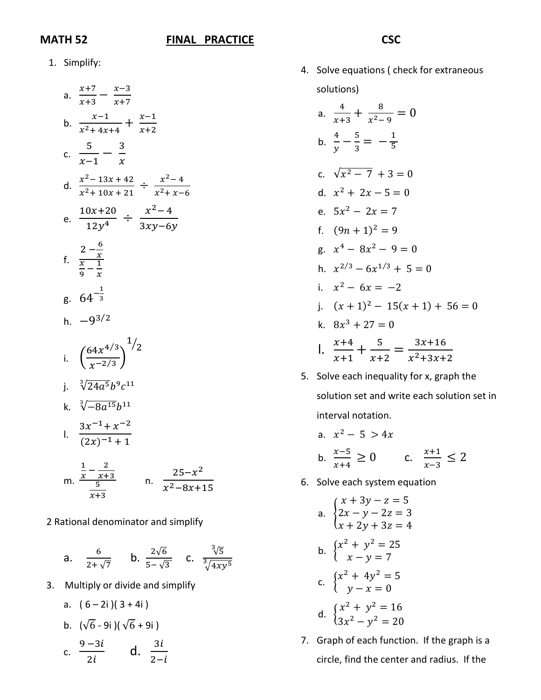## **MATH 52 FINAL PRACTICE**

## **CSC**

1. Simplify:

a. 
$$
\frac{x+7}{x+3} - \frac{x-3}{x+7}
$$
  
\nb. 
$$
\frac{x-1}{x^2 + 4x + 4} + \frac{x-1}{x+2}
$$
  
\nc. 
$$
\frac{5}{x-1} - \frac{3}{x}
$$
  
\nd. 
$$
\frac{x^2 - 13x + 42}{x^2 + 10x + 21} \div \frac{x^2 - 4}{x^2 + x - 6}
$$
  
\ne. 
$$
\frac{10x + 20}{12y^4} \div \frac{x^2 - 4}{3xy - 6y}
$$
  
\nf. 
$$
\frac{2 - \frac{6}{x}}{\frac{x}{9} - \frac{1}{x}}
$$
  
\ng. 
$$
64^{-\frac{1}{3}}
$$
  
\nh. 
$$
-9^{3/2}
$$
  
\ni. 
$$
\left(\frac{64x^{4/3}}{x^{-2/3}}\right)^{1/2}
$$
  
\nj. 
$$
\sqrt[3]{24a^5b^9c^{11}}
$$
  
\nk. 
$$
\sqrt[3]{-8a^{15}b^{11}}
$$
  
\nl. 
$$
\frac{3x^{-1} + x^{-2}}{(2x)^{-1} + 1}
$$
  
\nm. 
$$
\frac{\frac{1}{x} - \frac{2}{x+3}}{\frac{5}{x+3}}
$$
 n. 
$$
\frac{25 - x^2}{x^2 - 8x + 15}
$$

2 Rational denominator and simplify

a. 
$$
\frac{6}{2+\sqrt{7}}
$$
 b.  $\frac{2\sqrt{6}}{5-\sqrt{3}}$  c.  $\frac{3\sqrt{5}}{\sqrt[3]{4xy^5}}$ 

3. Multiply or divide and simplify

a. 
$$
(6-2i)(3+4i)
$$
  
\nb.  $(\sqrt{6}-9i)(\sqrt{6}+9i)$   
\nc.  $\frac{9-3i}{2i}$  d.  $\frac{3i}{2-i}$ 

4. Solve equations ( check for extraneous solutions)

a. 
$$
\frac{4}{x+3} + \frac{8}{x^2-9} = 0
$$
  
\nb. 
$$
\frac{4}{y} - \frac{5}{3} = -\frac{1}{5}
$$
  
\nc. 
$$
\sqrt{x^2 - 7} + 3 = 0
$$
  
\nd. 
$$
x^2 + 2x - 5 = 0
$$
  
\ne. 
$$
5x^2 - 2x = 7
$$
  
\nf. 
$$
(9n + 1)^2 = 9
$$
  
\ng. 
$$
x^4 - 8x^2 - 9 = 0
$$
  
\nh. 
$$
x^{2/3} - 6x^{1/3} + 5 = 0
$$
  
\ni. 
$$
x^2 - 6x = -2
$$
  
\nj. 
$$
(x + 1)^2 - 15(x + 1) + 56 = 0
$$
  
\nk. 
$$
8x^3 + 27 = 0
$$
  
\nl. 
$$
\frac{x+4}{x+1} + \frac{5}{x+2} = \frac{3x+16}{x^2+3x+2}
$$

5. Solve each inequality for x, graph the solution set and write each solution set in interval notation.

a. 
$$
x^2 - 5 > 4x
$$
  
b.  $\frac{x-5}{x+4} \ge 0$  c.  $\frac{x+1}{x-3} \le 2$ 

6. Solve each system equation

a. 
$$
\begin{cases} x + 3y - z = 5 \\ 2x - y - 2z = 3 \\ x + 2y + 3z = 4 \end{cases}
$$
  
\nb. 
$$
\begin{cases} x^2 + y^2 = 25 \\ x - y = 7 \end{cases}
$$
  
\nc. 
$$
\begin{cases} x^2 + 4y^2 = 5 \\ y - x = 0 \end{cases}
$$
  
\nd. 
$$
\begin{cases} x^2 + y^2 = 16 \\ 3x^2 - y^2 = 20 \end{cases}
$$

7. Graph of each function. If the graph is a circle, find the center and radius. If the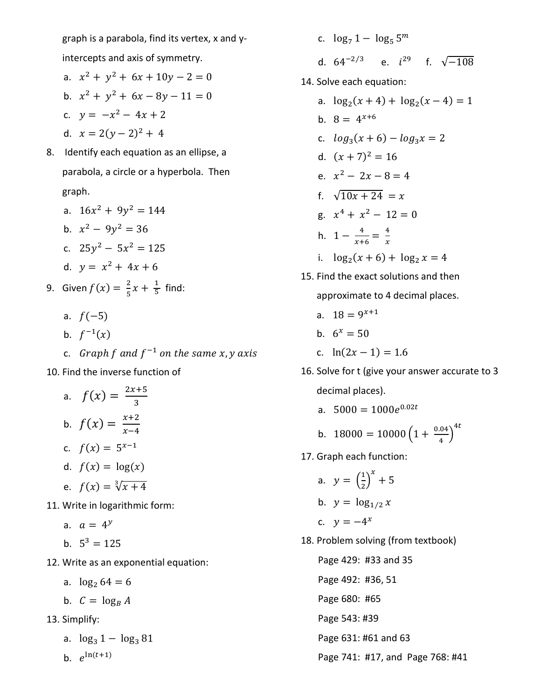graph is a parabola, find its vertex, x and yintercepts and axis of symmetry.

- a.  $x^2 + y^2 + 6x + 10y 2 = 0$
- b.  $x^2 + y^2 + 6x 8y 11 = 0$
- c.  $y = -x^2 4x + 2$

d. 
$$
x = 2(y-2)^2 + 4
$$

- 8. Identify each equation as an ellipse, a parabola, a circle or a hyperbola. Then graph.
	- a.  $16x^2 + 9y^2 = 144$ b.  $x^2 - 9y^2 = 36$ c.  $25y^2 - 5x^2 = 125$ d.  $y = x^2 + 4x + 6$
- 9. Given  $f(x) = \frac{2}{5}x + \frac{1}{5}$  find:
	- a.  $f(-5)$
	- b.  $f^{-1}(x)$
	- c. Graph f and  $f^{-1}$  on the same x, y axis
- 10. Find the inverse function of
- a.  $f(x) = \frac{2x+5}{3}$ b.  $f(x) = \frac{x+2}{x-4}$ c.  $f(x) = 5^{x-1}$ d.  $f(x) = \log(x)$ e.  $f(x) = \sqrt[3]{x + 4}$ 11. Write in logarithmic form:
	- a.  $a = 4^y$
	- b.  $5^3 = 125$
- 12. Write as an exponential equation:
	- a.  $\log_2 64 = 6$
	- b.  $C = \log_B A$
- 13. Simplify:
	- a.  $\log_3 1 \log_3 81$
	- b.  $e^{\ln(t+1)}$
- c.  $\log_7 1 \log_5 5^m$ d.  $64^{-2/3}$  e.  $i^{29}$  f.  $\sqrt{-108}$ 14. Solve each equation: a.  $\log_2(x + 4) + \log_2(x - 4) = 1$ b.  $8 = 4^{x+6}$ c.  $log_3(x + 6) - log_3 x = 2$ d.  $(x + 7)^2 = 16$ e.  $x^2 - 2x - 8 = 4$ f.  $\sqrt{10x + 24} = x$ g.  $x^4 + x^2 - 12 = 0$ h.  $1 - \frac{4}{x+6} = \frac{4}{x}$ i.  $\log_2(x + 6) + \log_2 x = 4$ 15. Find the exact solutions and then
	- approximate to 4 decimal places.
	- a.  $18 = 9^{x+1}$
	- b.  $6^x = 50$
	- c.  $ln(2x 1) = 1.6$
- 16. Solve for t (give your answer accurate to 3 decimal places).
	- a.  $5000 = 1000e^{0.02t}$

b. 
$$
18000 = 10000 \left(1 + \frac{0.04}{4}\right)^{4t}
$$

17. Graph each function:

a. 
$$
y = \left(\frac{1}{2}\right)^x + 5
$$

b.  $y = \log_{1/2} x$ 

$$
y = -4^x
$$

- 18. Problem solving (from textbook)
	- Page 429: #33 and 35 Page 492: #36, 51 Page 680: #65 Page 543: #39 Page 631: #61 and 63 Page 741: #17, and Page 768: #41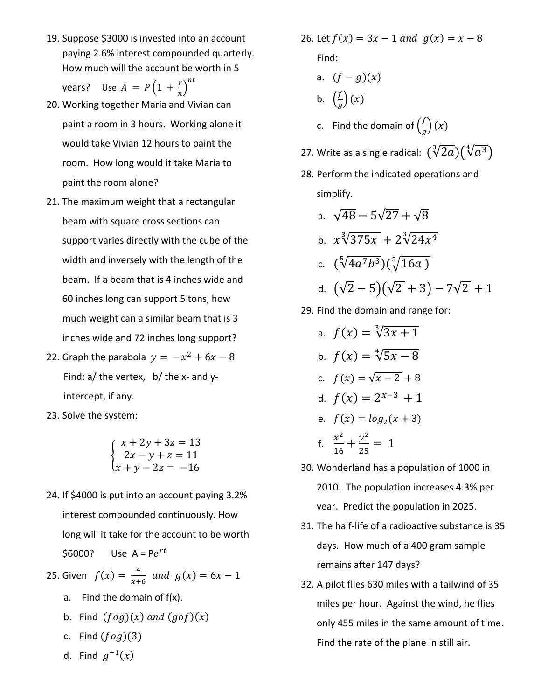19. Suppose \$3000 is invested into an account paying 2.6% interest compounded quarterly. How much will the account be worth in 5

years? Use  $A = P\left(1 + \frac{r}{n}\right)$  $n_{\mathcal{I}}$ 

- 20. Working together Maria and Vivian can paint a room in 3 hours. Working alone it would take Vivian 12 hours to paint the room. How long would it take Maria to paint the room alone?
- 21. The maximum weight that a rectangular beam with square cross sections can support varies directly with the cube of the width and inversely with the length of the beam. If a beam that is 4 inches wide and 60 inches long can support 5 tons, how much weight can a similar beam that is 3 inches wide and 72 inches long support?
- 22. Graph the parabola  $y = -x^2 + 6x 8$ Find: a/ the vertex, b/ the x- and yintercept, if any.
- 23. Solve the system:

$$
\begin{cases}\nx + 2y + 3z = 13 \\
2x - y + z = 11 \\
x + y - 2z = -16\n\end{cases}
$$

24. If \$4000 is put into an account paying 3.2% interest compounded continuously. How long will it take for the account to be worth \$6000? Use  $A = Pe^{rt}$ 

25. Given  $f(x) = \frac{4}{x+6}$  and  $g(x) = 6x - 1$ 

- a. Find the domain of f(x).
- b. Find  $(f \circ g)(x)$  and  $(g \circ f)(x)$
- c. Find  $(f \circ g)(3)$
- d. Find  $g^{-1}(x)$
- 26. Let  $f(x) = 3x 1$  and  $g(x) = x 8$ Find:
	- a.  $(f g)(x)$
	- b.  $\left(\frac{f}{a}\right)$  $\frac{y}{g}$  $(x)$
	- c. Find the domain of  $\left(\frac{f}{a}\right)$  $\frac{2}{g}$  $(x)$
- 27. Write as a single radical:  $({\sqrt[3]{2a}})({\sqrt[4]{a^3}})$
- 28. Perform the indicated operations and simplify.

a. 
$$
\sqrt{48} - 5\sqrt{27} + \sqrt{8}
$$
  
\nb.  $x\sqrt[3]{375x} + 2\sqrt[3]{24x^4}$   
\nc.  $(\sqrt[5]{4a^7b^3})(\sqrt[5]{16a})$   
\nd.  $(\sqrt{2} - 5)(\sqrt{2} + 3) - 7\sqrt{2} + 1$ 

- 29. Find the domain and range for:
	- a.  $f(x) = \sqrt[3]{3x + 1}$ b.  $f(x) = \sqrt[4]{5x - 8}$ c.  $f(x) = \sqrt{x - 2} + 8$ d.  $f(x) = 2^{x-3} + 1$ e.  $f(x) = log_2(x + 3)$ f.  $\frac{x^2}{46}$  $\frac{x^2}{16} + \frac{y^2}{25} = 1$
- 30. Wonderland has a population of 1000 in 2010. The population increases 4.3% per year. Predict the population in 2025.
- 31. The half-life of a radioactive substance is 35 days. How much of a 400 gram sample remains after 147 days?
- 32. A pilot flies 630 miles with a tailwind of 35 miles per hour. Against the wind, he flies only 455 miles in the same amount of time. Find the rate of the plane in still air.